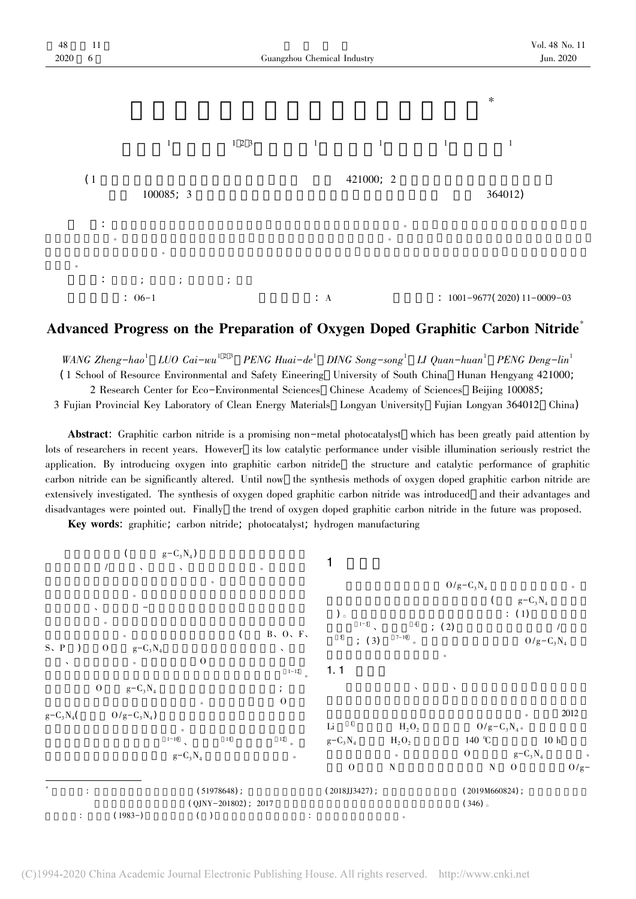

## Advanced Progress on the Preparation of Oxygen Doped Graphitic Carbon Nitride<sup>\*</sup>

WANG Zheng-hao<sup>1</sup> LUO Cai-wu<sup>123</sup> PENG Huai-de<sup>1</sup> DING Song-song<sup>1</sup> LI Quan-huan<sup>1</sup> PENG Deng-lin<sup>1</sup> ( <sup>1</sup> School of Resource Environmental and Safety Eineering University of South China Hunan Hengyang <sup>421000</sup>; 2 Research Center for Eco-Environmental Sciences Chinese Academy of Sciences Beijing <sup>100085</sup>;

3 Fujian Provincial Key Laboratory of Clean Energy Materials Longyan University Fujian Longyan <sup>364012</sup> China)

Abstract: Graphitic carbon nitride is a promising non-metal photocatalyst which has been greatly paid attention by lots of researchers in recent years. However its low catalytic performance under visible illumination seriously restrict the application. By introducing oxygen into graphitic carbon nitride the structure and catalytic performance of graphitic carbon nitride can be significantly altered. Until now the synthesis methods of oxygen doped graphitic carbon nitride are extensively investigated. The synthesis of oxygen doped graphitic carbon nitride was introduced and their advantages and disadvantages were pointed out. Finally the trend of oxygen doped graphitic carbon nitride in the future was proposed.

Key words: graphitic; carbon nitride; photocatalyst; hydrogen manufacturing

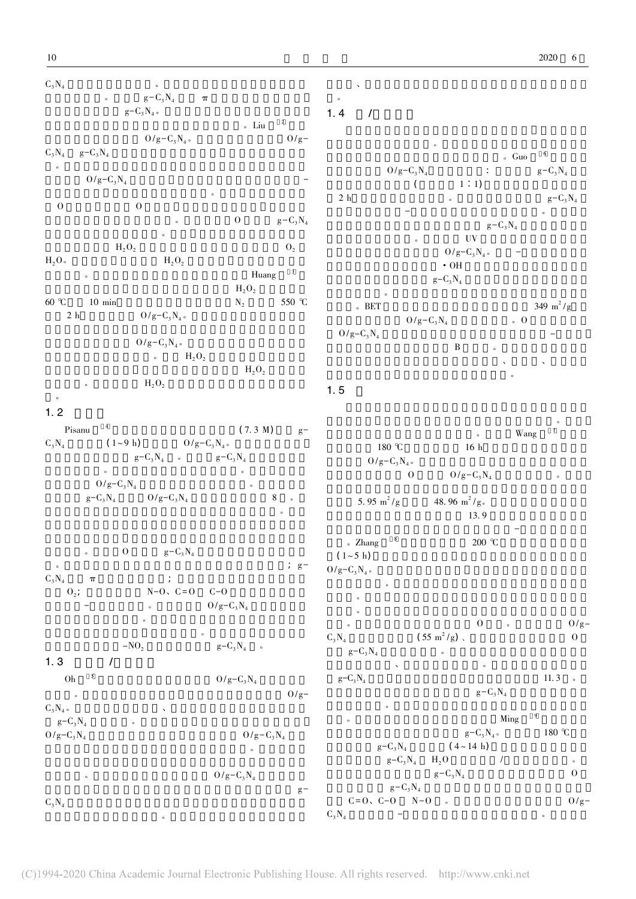$C_3N_4$  $4$  $g-C_3N_4$   $\pi$  $g-C_3N_4$  $\frac{1}{2}$  Liu  $\frac{2}{\pi}$  $0/g - C_3 N_4 \, \circ \qquad \qquad \qquad {\rm Liu} \qquad \qquad ^2 O/g C_3N_4$  $\log -C_3N_4$  $\alpha$  $\circ$   ${\rm O/g-C_3N_4}$  $\overline{Q}$ O $\hspace{1.6cm}0\hspace{1.2cm}$  $\delta$  O  $\mathrm{g-C_3N_4}$  $\bullet$  $H_2O_2$   $O_2$  $H_2O_2$  and  $H_2O_2$  $\frac{3}{\pi}$  $H_2O_2$ 60 $\degree$ C  $\Gamma$  0 °C 10 min  $N_2$  550 °C  $2\,$  h  $10\,$  min  $$N_2$$   $1550$   $^{\circ}\mathrm{C}$   $2\,$  h  $$O/g-C_3N_4\,$   $^{\circ}$  $O/g-C_3N_4$  $\overline{H}_2O_2$  $H_2O_2$  $H_2O_2$  $\overline{a}$  $1.2$ Pisanu $(7.3 \text{ M}) \qquad g C_3N_4$  $(1-9 h)$  ,  $0/g-C_3N_4$ .  $g - C_3 N_4$   $g - C_3 N_4$  $\bullet$  $O/g-C_3N_4$  $g - C_3 N_4$  0/g-C<sub>3</sub>N<sub>4</sub> 8  $\ddot{\theta}$  $\rm _o$  O  $\rm _g-C_3N_4$ 。例如 在邻近的碳原子上多余的电子发生重新分布; g-  $C_3N_4$  $\pi$  and  $\pi$  and  $\pi$  and  $\pi$  $\pi$  ;<br>O<sub>2</sub>;  $N-O, C=O$  C-O  $O/g-C_3N_4$  $\sim$  $\overline{O}$  $-NO_2$   $g-C_3N_4$  a  $1.3$  / Oh $5 \tO/g-C_3N_4$  $0/\text{g} C_3N_4$   $\circ$  $\begin{array}{c} C_3N_4 \circ \\ g - C_3N_4 \end{array}$  $4 \t\t\t 1$  $O/g - C_3N_4$  $O/g-C_3N_4$  $\overline{\phantom{a}}$  $O/g-C_3N_4$  $\frac{8}{9}$   $\frac{4}{9}$   $\frac{9}{9}$   $\frac{4}{9}$  $C_3N_4$  $\frac{4}{\pi}$ 性较强、价格较昂贵等问题 也是制约其工业化发展的重要因 。  $1.4 /$  $\sim$  $\sim$  Guo  $^{-6}$  $0/g-C_3N_4$   $\therefore$  Guo<br> $g-C_3N_4$   $\therefore$   $g-C_3N_4$  $\begin{pmatrix} 0 & 1:1 \end{pmatrix}$ 2 h 2 h  $g-C_3N_4$ 米片 为后续的光-芬顿氧化反应提供更好的场所。同时  $g - C_3 N_4$  $\sim$  UV  $\sim$  UV  $\sim$  UV  $\sim$ UV<br> $O/g-C_3N_4$  $\cdot$  OH  $g - C_3N_4$  $\sim$  $BRST$   $349 \text{ m}^2/\text{g}$  $0/g-C_3N_4$  . O  $O/g - C_3N_4$  对光的吸收能力和有效地分离光生空穴-电子对  $\mathbf{B}$  defined by  $\mathbf{B}$  and  $\mathbf{B}$ 非常高 但是该路线涉及到制备工艺繁多、成本高、有毒的化  $\mathcal{L}$ 1. 5  $\bullet$  $\sim$  Wang  $\frac{7}{4}$  $180 \, \text{°C}$  16 h  $180 \text{ °C} \qquad \qquad 16 \text{ h}$ <br> $0/g-C_3N_4 \text{ °C}$  $0 \qquad \qquad \frac{O}{g-C_3N_4}$  $5.95 \text{ m}^2/\text{g}$   $48.96 \text{ m}^2/\text{g}$ .  $\frac{3}{2}$  13. 9 的比表面积和电荷迁移的能力以及光生空穴-电子对的有效地  $\sim$  Zhang  $\sim$  8 200 °C •  $\text{Zhang}$   $\text{N}$   $\text{200}$  ℃ ,  $\text{1}$   $\sim$  5 h)  $O/g-C_3N_A$  $\mathbf{Q}$  $\sim$  $\bullet$  $\sim 0$   $\sim 0$   $0$  $C_3N_4$  $0 \t 0 \t 0$   $0$  /g-<br>(55 m<sup>2</sup>/g) \times  $g - C_3 N_4$   $\qquad \qquad$  $\lambda$  $g - C_3 N_4$  $11.3$  .  $g - C_3N_4$  $\overline{\mathcal{O}}$  $\sim$  Ming  $^{9}$  $g-C_3N_4$  and  $g-C_3N_5$  $\begin{array}{ccc} & g - C_3 N_4 \, , & \qquad & 180 \, \, ^{\circ}\!C \\ g - C_3 N_4 & \qquad & (4 \sim 14 \, \, h) \end{array}$  $g - C_3N_4$  H<sub>2</sub>O /  $g - C_3 N_4$  0  $g - C_3 N_4$  $\label{eq:Q} \begin{array}{ccc} & g - C_3 \mathrm{N}_4 & \\ \mathrm{C=O} & \mathrm{C-O} & \mathrm{N-O} & \circ \end{array}$  $\sim$ 

 $C_3N_4$ 

 $\alpha$